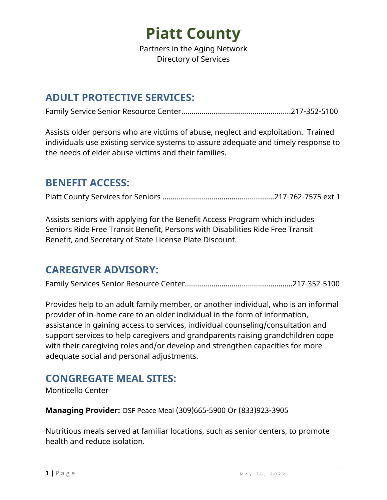

Partners in the Aging Network Directory of Services

#### **ADULT PROTECTIVE SERVICES:**

Family Service Senior Resource Center……………………………………………...217-352-5100

Assists older persons who are victims of abuse, neglect and exploitation. Trained individuals use existing service systems to assure adequate and timely response to the needs of elder abuse victims and their families.

#### **BENEFIT ACCESS:**

Piatt County Services for Seniors ……………………………………………….217-762-7575 ext 1

Assists seniors with applying for the Benefit Access Program which includes Seniors Ride Free Transit Benefit, Persons with Disabilities Ride Free Transit Benefit, and Secretary of State License Plate Discount.

#### **CAREGIVER ADVISORY:**

Family Services Senior Resource Center....……………………………….………...217-352-5100

Provides help to an adult family member, or another individual, who is an informal provider of in-home care to an older individual in the form of information, assistance in gaining access to services, individual counseling/consultation and support services to help caregivers and grandparents raising grandchildren cope with their caregiving roles and/or develop and strengthen capacities for more adequate social and personal adjustments.

### **CONGREGATE MEAL SITES:**

Monticello Center

**Managing Provider:** OSF Peace Meal (309)665-5900 Or (833)923-3905

Nutritious meals served at familiar locations, such as senior centers, to promote health and reduce isolation.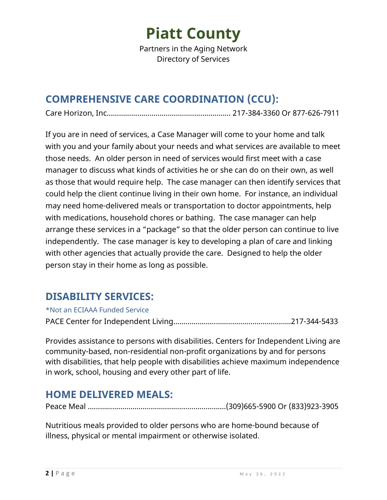### **Piatt County**

Partners in the Aging Network Directory of Services

#### **COMPREHENSIVE CARE COORDINATION (CCU):**

Care Horizon, Inc……………………….…………………………... 217-384-3360 Or 877-626-7911

If you are in need of services, a Case Manager will come to your home and talk with you and your family about your needs and what services are available to meet those needs. An older person in need of services would first meet with a case manager to discuss what kinds of activities he or she can do on their own, as well as those that would require help. The case manager can then identify services that could help the client continue living in their own home. For instance, an individual may need home-delivered meals or transportation to doctor appointments, help with medications, household chores or bathing. The case manager can help arrange these services in a "package" so that the older person can continue to live independently. The case manager is key to developing a plan of care and linking with other agencies that actually provide the care. Designed to help the older person stay in their home as long as possible.

#### **DISABILITY SERVICES:**

\*Not an ECIAAA Funded Service PACE Center for Independent Living………………………………………………….217-344-5433

Provides assistance to persons with disabilities. Centers for Independent Living are community-based, non-residential non-profit organizations by and for persons with disabilities, that help people with disabilities achieve maximum independence in work, school, housing and every other part of life.

#### **HOME DELIVERED MEALS:**

Peace Meal ……………………………………….………………….(309)665-5900 Or (833)923-3905

Nutritious meals provided to older persons who are home-bound because of illness, physical or mental impairment or otherwise isolated.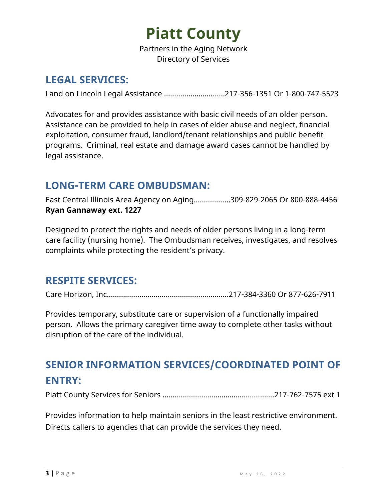# **Piatt County**

Partners in the Aging Network Directory of Services

#### **LEGAL SERVICES:**

Land on Lincoln Legal Assistance …………………………217-356-1351 Or 1-800-747-5523

Advocates for and provides assistance with basic civil needs of an older person. Assistance can be provided to help in cases of elder abuse and neglect, financial exploitation, consumer fraud, landlord/tenant relationships and public benefit programs. Criminal, real estate and damage award cases cannot be handled by legal assistance.

#### **LONG-TERM CARE OMBUDSMAN:**

East Central Illinois Area Agency on Aging……………...309-829-2065 Or 800-888-4456 **Ryan Gannaway ext. 1227**

Designed to protect the rights and needs of older persons living in a long-term care facility (nursing home). The Ombudsman receives, investigates, and resolves complaints while protecting the resident's privacy.

#### **RESPITE SERVICES:**

Care Horizon, Inc……………………….………………….……....217-384-3360 Or 877-626-7911

Provides temporary, substitute care or supervision of a functionally impaired person. Allows the primary caregiver time away to complete other tasks without disruption of the care of the individual.

### **SENIOR INFORMATION SERVICES/COORDINATED POINT OF ENTRY:**

Piatt County Services for Seniors ……………………………………………….217-762-7575 ext 1

Provides information to help maintain seniors in the least restrictive environment. Directs callers to agencies that can provide the services they need.